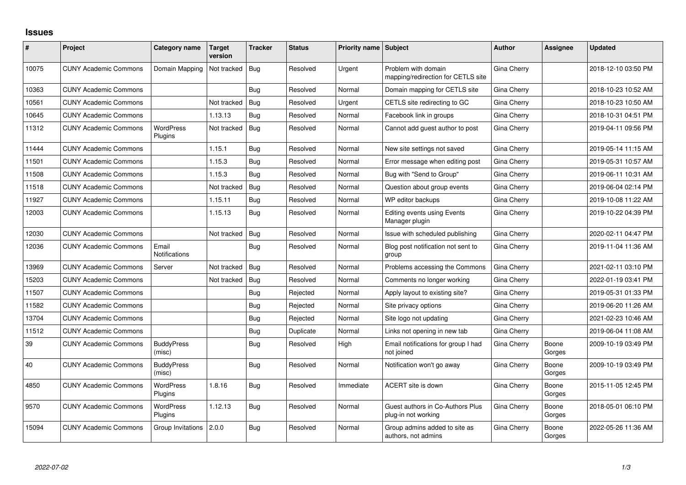## **Issues**

| #     | Project                      | Category name               | <b>Target</b><br>version | <b>Tracker</b> | <b>Status</b> | <b>Priority name Subject</b> |                                                           | <b>Author</b> | <b>Assignee</b> | <b>Updated</b>      |
|-------|------------------------------|-----------------------------|--------------------------|----------------|---------------|------------------------------|-----------------------------------------------------------|---------------|-----------------|---------------------|
| 10075 | <b>CUNY Academic Commons</b> | Domain Mapping              | Not tracked              | Bug            | Resolved      | Urgent                       | Problem with domain<br>mapping/redirection for CETLS site | Gina Cherry   |                 | 2018-12-10 03:50 PM |
| 10363 | <b>CUNY Academic Commons</b> |                             |                          | Bug            | Resolved      | Normal                       | Domain mapping for CETLS site                             | Gina Cherry   |                 | 2018-10-23 10:52 AM |
| 10561 | <b>CUNY Academic Commons</b> |                             | Not tracked              | Bug            | Resolved      | Urgent                       | CETLS site redirecting to GC                              | Gina Cherry   |                 | 2018-10-23 10:50 AM |
| 10645 | <b>CUNY Academic Commons</b> |                             | 1.13.13                  | Bug            | Resolved      | Normal                       | Facebook link in groups                                   | Gina Cherry   |                 | 2018-10-31 04:51 PM |
| 11312 | <b>CUNY Academic Commons</b> | <b>WordPress</b><br>Plugins | Not tracked              | Bug            | Resolved      | Normal                       | Cannot add guest author to post                           | Gina Cherry   |                 | 2019-04-11 09:56 PM |
| 11444 | <b>CUNY Academic Commons</b> |                             | 1.15.1                   | Bug            | Resolved      | Normal                       | New site settings not saved                               | Gina Cherry   |                 | 2019-05-14 11:15 AM |
| 11501 | <b>CUNY Academic Commons</b> |                             | 1.15.3                   | Bug            | Resolved      | Normal                       | Error message when editing post                           | Gina Cherry   |                 | 2019-05-31 10:57 AM |
| 11508 | <b>CUNY Academic Commons</b> |                             | 1.15.3                   | Bug            | Resolved      | Normal                       | Bug with "Send to Group"                                  | Gina Cherry   |                 | 2019-06-11 10:31 AM |
| 11518 | <b>CUNY Academic Commons</b> |                             | Not tracked              | Bug            | Resolved      | Normal                       | Question about group events                               | Gina Cherry   |                 | 2019-06-04 02:14 PM |
| 11927 | <b>CUNY Academic Commons</b> |                             | 1.15.11                  | Bug            | Resolved      | Normal                       | WP editor backups                                         | Gina Cherry   |                 | 2019-10-08 11:22 AM |
| 12003 | <b>CUNY Academic Commons</b> |                             | 1.15.13                  | Bug            | Resolved      | Normal                       | <b>Editing events using Events</b><br>Manager plugin      | Gina Cherry   |                 | 2019-10-22 04:39 PM |
| 12030 | <b>CUNY Academic Commons</b> |                             | Not tracked              | Bug            | Resolved      | Normal                       | Issue with scheduled publishing                           | Gina Cherry   |                 | 2020-02-11 04:47 PM |
| 12036 | <b>CUNY Academic Commons</b> | Email<br>Notifications      |                          | Bug            | Resolved      | Normal                       | Blog post notification not sent to<br>group               | Gina Cherry   |                 | 2019-11-04 11:36 AM |
| 13969 | <b>CUNY Academic Commons</b> | Server                      | Not tracked              | Bug            | Resolved      | Normal                       | Problems accessing the Commons                            | Gina Cherry   |                 | 2021-02-11 03:10 PM |
| 15203 | <b>CUNY Academic Commons</b> |                             | Not tracked              | Bug            | Resolved      | Normal                       | Comments no longer working                                | Gina Cherry   |                 | 2022-01-19 03:41 PM |
| 11507 | <b>CUNY Academic Commons</b> |                             |                          | Bug            | Rejected      | Normal                       | Apply layout to existing site?                            | Gina Cherry   |                 | 2019-05-31 01:33 PM |
| 11582 | <b>CUNY Academic Commons</b> |                             |                          | Bug            | Rejected      | Normal                       | Site privacy options                                      | Gina Cherry   |                 | 2019-06-20 11:26 AM |
| 13704 | <b>CUNY Academic Commons</b> |                             |                          | Bug            | Rejected      | Normal                       | Site logo not updating                                    | Gina Cherry   |                 | 2021-02-23 10:46 AM |
| 11512 | <b>CUNY Academic Commons</b> |                             |                          | Bug            | Duplicate     | Normal                       | Links not opening in new tab                              | Gina Cherry   |                 | 2019-06-04 11:08 AM |
| 39    | <b>CUNY Academic Commons</b> | <b>BuddyPress</b><br>(misc) |                          | Bug            | Resolved      | High                         | Email notifications for group I had<br>not joined         | Gina Cherry   | Boone<br>Gorges | 2009-10-19 03:49 PM |
| 40    | <b>CUNY Academic Commons</b> | <b>BuddyPress</b><br>(misc) |                          | Bug            | Resolved      | Normal                       | Notification won't go away                                | Gina Cherry   | Boone<br>Gorges | 2009-10-19 03:49 PM |
| 4850  | <b>CUNY Academic Commons</b> | <b>WordPress</b><br>Plugins | 1.8.16                   | Bug            | Resolved      | Immediate                    | ACERT site is down                                        | Gina Cherry   | Boone<br>Gorges | 2015-11-05 12:45 PM |
| 9570  | <b>CUNY Academic Commons</b> | <b>WordPress</b><br>Plugins | 1.12.13                  | Bug            | Resolved      | Normal                       | Guest authors in Co-Authors Plus<br>plug-in not working   | Gina Cherry   | Boone<br>Gorges | 2018-05-01 06:10 PM |
| 15094 | <b>CUNY Academic Commons</b> | Group Invitations           | 2.0.0                    | Bug            | Resolved      | Normal                       | Group admins added to site as<br>authors, not admins      | Gina Cherry   | Boone<br>Gorges | 2022-05-26 11:36 AM |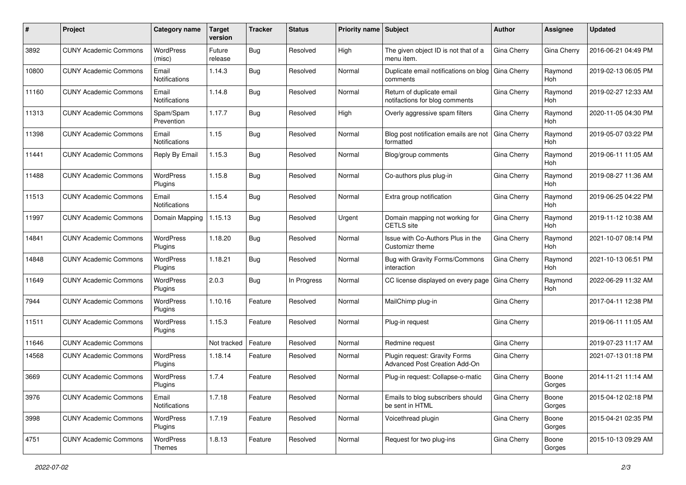| #     | Project                      | <b>Category name</b>          | <b>Target</b><br>version | <b>Tracker</b> | <b>Status</b> | <b>Priority name Subject</b> |                                                                | <b>Author</b> | Assignee              | <b>Updated</b>      |
|-------|------------------------------|-------------------------------|--------------------------|----------------|---------------|------------------------------|----------------------------------------------------------------|---------------|-----------------------|---------------------|
| 3892  | <b>CUNY Academic Commons</b> | WordPress<br>(misc)           | Future<br>release        | <b>Bug</b>     | Resolved      | High                         | The given object ID is not that of a<br>menu item.             | Gina Cherry   | Gina Cherry           | 2016-06-21 04:49 PM |
| 10800 | <b>CUNY Academic Commons</b> | Email<br>Notifications        | 1.14.3                   | Bug            | Resolved      | Normal                       | Duplicate email notifications on blog<br>comments              | Gina Cherry   | Raymond<br>Hoh        | 2019-02-13 06:05 PM |
| 11160 | <b>CUNY Academic Commons</b> | Email<br>Notifications        | 1.14.8                   | Bug            | Resolved      | Normal                       | Return of duplicate email<br>notifactions for blog comments    | Gina Cherry   | Raymond<br>Hoh        | 2019-02-27 12:33 AM |
| 11313 | <b>CUNY Academic Commons</b> | Spam/Spam<br>Prevention       | 1.17.7                   | <b>Bug</b>     | Resolved      | High                         | Overly aggressive spam filters                                 | Gina Cherry   | Raymond<br><b>Hoh</b> | 2020-11-05 04:30 PM |
| 11398 | <b>CUNY Academic Commons</b> | Email<br><b>Notifications</b> | 1.15                     | <b>Bug</b>     | Resolved      | Normal                       | Blog post notification emails are not<br>formatted             | Gina Cherry   | Raymond<br><b>Hoh</b> | 2019-05-07 03:22 PM |
| 11441 | <b>CUNY Academic Commons</b> | Reply By Email                | 1.15.3                   | <b>Bug</b>     | Resolved      | Normal                       | Blog/group comments                                            | Gina Cherry   | Raymond<br>Hoh        | 2019-06-11 11:05 AM |
| 11488 | <b>CUNY Academic Commons</b> | WordPress<br>Plugins          | 1.15.8                   | <b>Bug</b>     | Resolved      | Normal                       | Co-authors plus plug-in                                        | Gina Cherry   | Raymond<br>Hoh        | 2019-08-27 11:36 AM |
| 11513 | <b>CUNY Academic Commons</b> | Email<br>Notifications        | 1.15.4                   | <b>Bug</b>     | Resolved      | Normal                       | Extra group notification                                       | Gina Cherry   | Raymond<br>Hoh        | 2019-06-25 04:22 PM |
| 11997 | <b>CUNY Academic Commons</b> | Domain Mapping                | 1.15.13                  | <b>Bug</b>     | Resolved      | Urgent                       | Domain mapping not working for<br>CETLS site                   | Gina Cherry   | Raymond<br>Hoh        | 2019-11-12 10:38 AM |
| 14841 | <b>CUNY Academic Commons</b> | <b>WordPress</b><br>Plugins   | 1.18.20                  | <b>Bug</b>     | Resolved      | Normal                       | Issue with Co-Authors Plus in the<br>Customizr theme           | Gina Cherry   | Raymond<br>Hoh        | 2021-10-07 08:14 PM |
| 14848 | <b>CUNY Academic Commons</b> | WordPress<br>Plugins          | 1.18.21                  | Bug            | Resolved      | Normal                       | Bug with Gravity Forms/Commons<br>interaction                  | Gina Cherry   | Raymond<br>Hoh        | 2021-10-13 06:51 PM |
| 11649 | <b>CUNY Academic Commons</b> | WordPress<br><b>Plugins</b>   | 2.0.3                    | Bug            | In Progress   | Normal                       | CC license displayed on every page                             | Gina Cherry   | Raymond<br>Hoh        | 2022-06-29 11:32 AM |
| 7944  | <b>CUNY Academic Commons</b> | WordPress<br>Plugins          | 1.10.16                  | Feature        | Resolved      | Normal                       | MailChimp plug-in                                              | Gina Cherry   |                       | 2017-04-11 12:38 PM |
| 11511 | <b>CUNY Academic Commons</b> | <b>WordPress</b><br>Plugins   | 1.15.3                   | Feature        | Resolved      | Normal                       | Plug-in request                                                | Gina Cherry   |                       | 2019-06-11 11:05 AM |
| 11646 | <b>CUNY Academic Commons</b> |                               | Not tracked              | Feature        | Resolved      | Normal                       | Redmine request                                                | Gina Cherry   |                       | 2019-07-23 11:17 AM |
| 14568 | <b>CUNY Academic Commons</b> | WordPress<br>Plugins          | 1.18.14                  | Feature        | Resolved      | Normal                       | Plugin request: Gravity Forms<br>Advanced Post Creation Add-On | Gina Cherry   |                       | 2021-07-13 01:18 PM |
| 3669  | <b>CUNY Academic Commons</b> | WordPress<br>Plugins          | 1.7.4                    | Feature        | Resolved      | Normal                       | Plug-in request: Collapse-o-matic                              | Gina Cherry   | Boone<br>Gorges       | 2014-11-21 11:14 AM |
| 3976  | <b>CUNY Academic Commons</b> | Email<br>Notifications        | 1.7.18                   | Feature        | Resolved      | Normal                       | Emails to blog subscribers should<br>be sent in HTML           | Gina Cherry   | Boone<br>Gorges       | 2015-04-12 02:18 PM |
| 3998  | <b>CUNY Academic Commons</b> | WordPress<br>Plugins          | 1.7.19                   | Feature        | Resolved      | Normal                       | Voicethread plugin                                             | Gina Cherry   | Boone<br>Gorges       | 2015-04-21 02:35 PM |
| 4751  | <b>CUNY Academic Commons</b> | <b>WordPress</b><br>Themes    | 1.8.13                   | Feature        | Resolved      | Normal                       | Request for two plug-ins                                       | Gina Cherry   | Boone<br>Gorges       | 2015-10-13 09:29 AM |